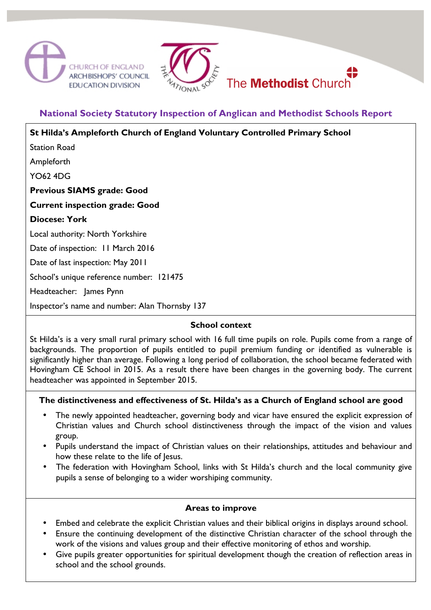



# **National Society Statutory Inspection of Anglican and Methodist Schools Report**

| St Hilda's Ampleforth Church of England Voluntary Controlled Primary School |
|-----------------------------------------------------------------------------|
| <b>Station Road</b>                                                         |
| Ampleforth                                                                  |
| <b>YO62 4DG</b>                                                             |
| <b>Previous SIAMS grade: Good</b>                                           |
| <b>Current inspection grade: Good</b>                                       |
| <b>Diocese: York</b>                                                        |
| Local authority: North Yorkshire                                            |
| Date of inspection: 11 March 2016                                           |
| Date of last inspection: May 2011                                           |
| School's unique reference number: 121475                                    |
| Headteacher: James Pynn                                                     |
| Inspector's name and number: Alan Thornsby 137                              |
|                                                                             |

### **School context**

St Hilda's is a very small rural primary school with 16 full time pupils on role. Pupils come from a range of backgrounds. The proportion of pupils entitled to pupil premium funding or identified as vulnerable is significantly higher than average. Following a long period of collaboration, the school became federated with Hovingham CE School in 2015. As a result there have been changes in the governing body. The current headteacher was appointed in September 2015.

### **The distinctiveness and effectiveness of St. Hilda's as a Church of England school are good**

- The newly appointed headteacher, governing body and vicar have ensured the explicit expression of Christian values and Church school distinctiveness through the impact of the vision and values group.
- Pupils understand the impact of Christian values on their relationships, attitudes and behaviour and how these relate to the life of lesus.
- The federation with Hovingham School, links with St Hilda's church and the local community give pupils a sense of belonging to a wider worshiping community.

### **Areas to improve**

- Embed and celebrate the explicit Christian values and their biblical origins in displays around school.
- Ensure the continuing development of the distinctive Christian character of the school through the work of the visions and values group and their effective monitoring of ethos and worship.
- Give pupils greater opportunities for spiritual development though the creation of reflection areas in school and the school grounds.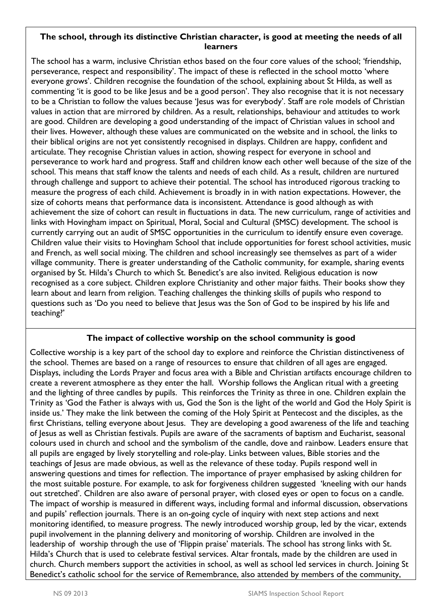#### **The school, through its distinctive Christian character, is good at meeting the needs of all learners**

The school has a warm, inclusive Christian ethos based on the four core values of the school; 'friendship, perseverance, respect and responsibility'. The impact of these is reflected in the school motto 'where everyone grows'. Children recognise the foundation of the school, explaining about St Hilda, as well as commenting 'it is good to be like Jesus and be a good person'. They also recognise that it is not necessary to be a Christian to follow the values because 'Jesus was for everybody'. Staff are role models of Christian values in action that are mirrored by children. As a result, relationships, behaviour and attitudes to work are good. Children are developing a good understanding of the impact of Christian values in school and their lives. However, although these values are communicated on the website and in school, the links to their biblical origins are not yet consistently recognised in displays. Children are happy, confident and articulate. They recognise Christian values in action, showing respect for everyone in school and perseverance to work hard and progress. Staff and children know each other well because of the size of the school. This means that staff know the talents and needs of each child. As a result, children are nurtured through challenge and support to achieve their potential. The school has introduced rigorous tracking to measure the progress of each child. Achievement is broadly in in with nation expectations. However, the size of cohorts means that performance data is inconsistent. Attendance is good although as with achievement the size of cohort can result in fluctuations in data. The new curriculum, range of activities and links with Hovingham impact on Spiritual, Moral, Social and Cultural (SMSC) development. The school is currently carrying out an audit of SMSC opportunities in the curriculum to identify ensure even coverage. Children value their visits to Hovingham School that include opportunities for forest school activities, music and French, as well social mixing. The children and school increasingly see themselves as part of a wider village community. There is greater understanding of the Catholic community, for example, sharing events organised by St. Hilda's Church to which St. Benedict's are also invited. Religious education is now recognised as a core subject. Children explore Christianity and other major faiths. Their books show they learn about and learn from religion. Teaching challenges the thinking skills of pupils who respond to questions such as 'Do you need to believe that Jesus was the Son of God to be inspired by his life and teaching?'

## **The impact of collective worship on the school community is good**

Collective worship is a key part of the school day to explore and reinforce the Christian distinctiveness of the school. Themes are based on a range of resources to ensure that children of all ages are engaged. Displays, including the Lords Prayer and focus area with a Bible and Christian artifacts encourage children to create a reverent atmosphere as they enter the hall. Worship follows the Anglican ritual with a greeting and the lighting of three candles by pupils. This reinforces the Trinity as three in one. Children explain the Trinity as 'God the Father is always with us, God the Son is the light of the world and God the Holy Spirit is inside us.' They make the link between the coming of the Holy Spirit at Pentecost and the disciples, as the first Christians, telling everyone about Jesus. They are developing a good awareness of the life and teaching of Jesus as well as Christian festivals. Pupils are aware of the sacraments of baptism and Eucharist, seasonal colours used in church and school and the symbolism of the candle, dove and rainbow. Leaders ensure that all pupils are engaged by lively storytelling and role-play. Links between values, Bible stories and the teachings of Jesus are made obvious, as well as the relevance of these today. Pupils respond well in answering questions and times for reflection. The importance of prayer emphasised by asking children for the most suitable posture. For example, to ask for forgiveness children suggested 'kneeling with our hands out stretched'. Children are also aware of personal prayer, with closed eyes or open to focus on a candle. The impact of worship is measured in different ways, including formal and informal discussion, observations and pupils' reflection journals. There is an on-going cycle of inquiry with next step actions and next monitoring identified, to measure progress. The newly introduced worship group, led by the vicar, extends pupil involvement in the planning delivery and monitoring of worship. Children are involved in the leadership of worship through the use of 'Flippin praise' materials. The school has strong links with St. Hilda's Church that is used to celebrate festival services. Altar frontals, made by the children are used in church. Church members support the activities in school, as well as school led services in church. Joining St Benedict's catholic school for the service of Remembrance, also attended by members of the community,